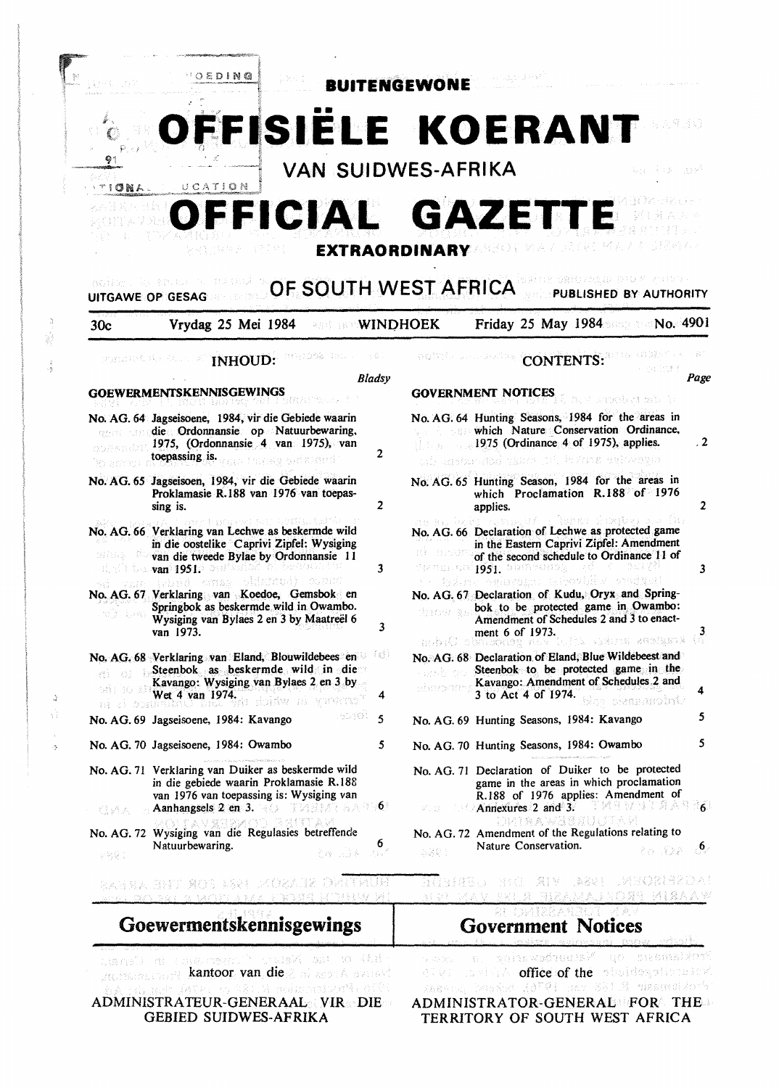

ADMINISTRATEUR-GENERAAL VIR DIE GEBIED SUIDWES-AFRIKA

b.

 $\mathcal{A}_k$ 

ADMINISTRATOR-GENERAL FOR THE TERRITORY OF SOUTH WEST AFRICA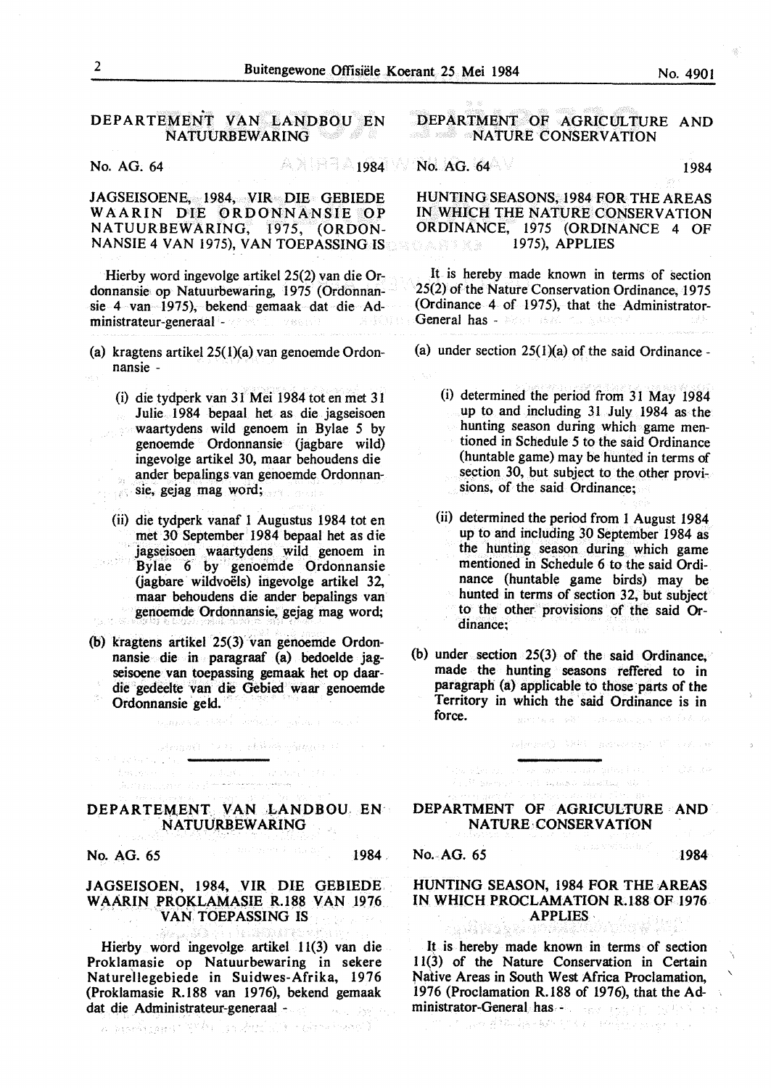#### DEPARTEMENT VAN LANDBOU EN<br>NATUURBEWARING NATUURBEWARING

No. AG. 64 20084 20084 20084 20084 20084 2010 No. AG. 64 1984

JAGSEISOENE, 1984, VIR DIE GEBIEDE WAARIN DIE ORDONNANSIE OP NATUURBEWARING, 1975, (ORDON-NANSIE 4 VAN 1975), VAN TOEPASSING IS

Hierby word ingevolge artikel 25(2) van die Ordonnansie op Natuurbewaring, 1975 (Ordonnansie 4 van 1975), bekend gemaak dat die Administrateur-generaal -

- (a) kragtens artikel 25( l)(a) van genoemde Ordonnansie -
	- (i) die tydperk van 31 Mei 1984 tot en met 31 Julie 1984 bepaal het as die jagseisoen waartydens wild genoem in Bylae 5 by genoemde Ordonnansie (jagbare wild) ingevolge artikel 30, maar behoudens die ander bepalings van genoemde Ordonnan- $\dot{\phi}_R$ sie, gejag mag word;
		- (ii) die tydperk vanaf 1 Augustus 1984 tot en met 30 September 1984 bepaal het as die · jagseisoen waartydens wild genoem in Bylae 6 by" genoemde Ordonnansie (jagbare wildvoels) ingevolge artikel 32, maar behoudens die ander bepalings van genoemde Ordonnansie, gejag mag word;
- (b) kragtens artikel 25(3) van genoemde Ordonnansie die in paragraaf (a) bedoelde jagseisoene van toepassing gemaak het op daardie gedeelte van die Gebied waar genoemde Ordonnansie geld. ·

Angoli (1991), Albert Angoli (19

#### DEPARTEMENT. VAN LANDBOU. EN: NATUURBEWARING

in 1971<br>De taal maar de Suid-Auguste teknee

No. AG. 65 1984

East Anne

#### JAGSEISOEN, 1984, VIR DIE GEBIEDE WAARIN PROKLAMASIE R.188 VAN 1976. VAN TOEPASSING IS

Hierby word ingevolge artikel 11(3) van die Proklamasie op Natuurbewaring in sekere Naturellegebiede in Suidwes-Afrika, 1976 (Proklamasie R.188 van 1976), bekend gemaak dat die Administrateur-generaal -不可 救忙

a nashiparti Kiki (ja Andulik Harvicare))

#### DEPARTMENT OF AGRICULTURE AND **NATURE CONSERVATION**

**HUNTINGSEASONS,1984 FOR** THE **AREAS IN WHICH** THE **NATURE CONSERVATION ORDINANCE,** 1975 **(ORDINANCE** 4 OF 1975), **APPLIES** 

It is hereby made known in terms of section 25(2) of the Nature Conservation Ordinance, 1975 (Ordinance 4 of 1975), that the Administrator-General has -

(a) under section  $25(1)(a)$  of the said Ordinance -

- (i) determined the period from 31 May 1984 up to and including 31 July 1984 as the hunting season during which game mentioned in Schedule 5 to the said Ordinance (huntable game) may be hunted in terms of section 30, but subject to the other provisions, of the said Ordinance;
- (ii) determined the period from 1 August 1984 up to and including 30 September 1984 as the hunting season during which game mentioned in Schedule 6 to the said Ordinance (huntable game birds) may be hunted in terms of section 32, but subject to the other provisions of the said Ordinance;
- (b) under section 25(3) of the said Ordinance, made the hunting seasons reffered to in paragraph (a) applicable to those parts of the Territory in which the said Ordinance is in force.

administration (MAR) and more than 100 minutes are

#### DEPARTMENT OF AGRICULTURE AND NATURE·CONSERVATfON

ana alikuwa mwaka wa 1989 (1989)<br>And<sup>y</sup> Samud a ali mwaka akastika 1980 (1980) (1980)

No. AG. 65 1984

 $\lambda$ 

# HUNTING SEASON, 1984 FOR THE AREAS IN WHICH PROCLAMATION R.188 OF 1976 **APPLIES**

It is hereby made known in terms of section I 1(3) of the Nature Conservation in Certain Native Areas in South West Africa Proclamation, 1976 (Proclamation R.188 of 1976), that the Administrator-General has - a search of the state of the state of the state of the state of the state of the state of the state of the state of the state of the state of the state of the state of the state of the state of th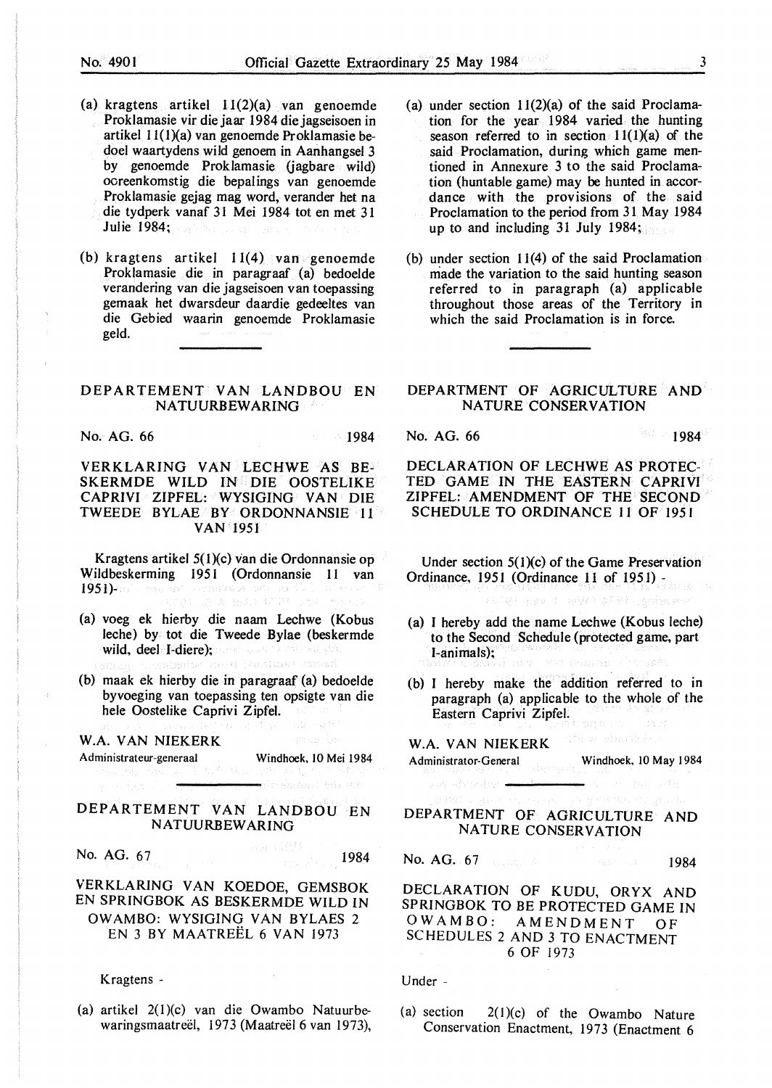- (a) kragtens artikel  $11(2)(a)$  van genoemde Proklamasie vir die jaar 1984 die jagseisoen in artikel  $11(1)(a)$  van genoemde Proklamasie bedoel waartydens wild genoem in Aanhangsel 3 by genoemde Proklamasie (jagbare wild) ooreenkomstig die bepalings van genoemde Proklamasie gejag mag word, verander het na die tydperk vanaf 31 Mei 1984 tot en met 31 Julie 1984;
- (b) kragtens artikel  $11(4)$  van genoemde Proklamasie die in paragraaf (a) bedoelde verandering van die jagseisoen van toepassing gemaak het dwarsdeur daardie gedeeltes van die Gebied waarin genoemde Proklamasie geld.

#### **DEPARTEMENT VAN LANDBOU EN NATUURBEWARING**

No. AG. 66 1984

#### **VERKLARING VAN** LECHWE AS BE-**SKERMDE WILD IN DIE OOSTELIKE CAPRIVI** ZIPFEL: **WYSIGING VAN** DIE TWEEDE BYLAE **BY ORDONNANSIE** 11 VAN 1951

Kragtens artikel 5(1)(c) van die Ordonnansie op Wildbeskerming 1951 (Ordonnansie 11 van 1951)-ao amin'ny faritr'i Amerika amin'ny faritr'i Nord-Amerika ao amin'ny faritr'i Nord-Amerika ao amin'ny faritr'i Nord-Amerika ao amin'ny faritr'i Nord-Amerika ao amin'ny faritr'i Nord-Amerika ao amin'ny faritr'i Nord-A

- (a) voeg ek hierby die naam Lechwe (Kobus leche) by tot die Tweede Bylae (beskermde wild, deel I-diere); เหมาใหม่เป็นเพราะของแบ
- (b) maak ek hierby die in paragraaf (a) bedoelde byvoeging van toepassing ten opsigte van die hele Oostelike Caprivi Zipfel.

W.A. VAN NIEKERK

sa kacamatan <del>an</del>

Administrateur-generaal Windhoek, IO Mei 1984

机回头 电调整

<del>n</del>drohadas verdi verd

## DEPARTEMENT VAN LANDBOU EN NATUURBEWARING

No. AG. 67 **1984** 

### VERKLARING VAN KOEDOE, GEMSBOK EN SPRINGBOK AS BESKERMDE WILD IN OWAMBO: WYSIGING VAN BYLAES 2 EN 3 BY MAATREEL 6 VAN 1973

Kragtens -

(a) artikel 2(1)(c) van die Owambo Natuurbewaringsmaatreël, 1973 (Maatreël 6 van 1973),

- (a) under section  $11(2)(a)$  of the said Proclamation for the year 1984 varied the hunting season referred to in section  $11(1)(a)$  of the said Proclamation, during which game mentioned in Annexure 3 to the said Proclamation (huntable game) may be hunted in accordance with the provisions of the said Proclamation to the period from 31 May 1984 up to and including 31 July 1984;
- (b) under section 11(4) of the said Proclamation made the variation to the said hunting season referred to in paragraph (a) applicable throughout those areas of the Territory in which the said Proclamation is in force.

#### **DEPARTMENT OF AGRICULTURE AND NATURE CONSERVATION**

#### No. AG. 66 1984

DECLARATION OF LECHWE AS PROTEC-TED GAME IN THE EASTERN CAPRIVI ZIPFEL: AMENDMENT OF THE SECOND SCHEDULE TO ORDINANCE 11 OF 1951

Under section 5(I)(c) of the Game Preservation Ordinance, 1951 (Ordinance 11 of 1951) -

UPRI hav I HAVAN ATEL Lanian and

- (a) I hereby add the name Lechwe (Kobus leche) to the Second Schedule (protected game, part I-animals);
- (b) I hereby make the addition referred to in paragraph (a) applicable to the whole of the Eastern Caprivi Zipfel.

W.A. VAN NIEKERK Administrator-General Windhoek. IO May 1984

# DEPARTMENT OF AGRICULTURE AND NATURE CONSERVATION

# No. AG. 67 **1984**

DECLARATION OF KUDU, ORYX AND SPRINGBOK TO BE PROTECTED GAME IN OWAMBO: AMENDMENT OF SCHEDULES 2 AND 3 TO ENACTMENT 6 OF 1973

Under -

you almostry -

(a) section  $2(1)(c)$  of the Owambo Nature Conservation Enactment, 1973 (Enactment 6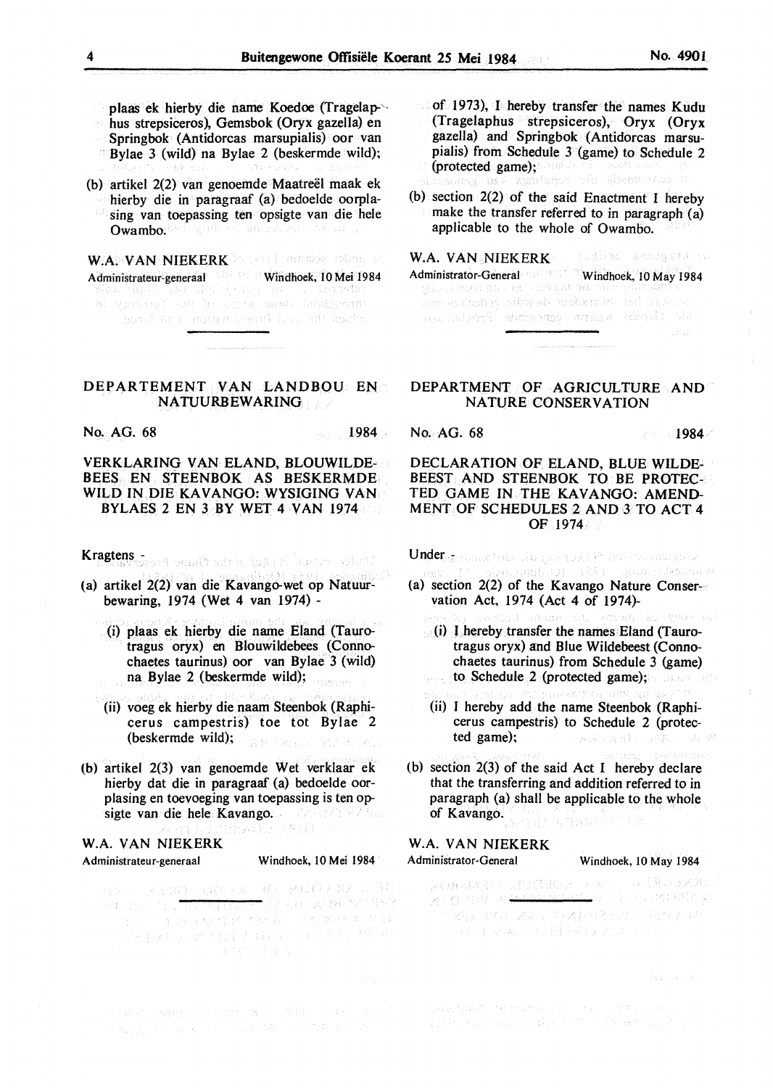plaas ek hierby die name Koedoe (Tragelap-'· bus strepsiceros), Gemsbok (Oryx gazella) en Springbok (Antidorcas marsupialis) oor van Bylae 3 (wild) na Bylae 2 (beskermde wild);

(b) artikel 2(2) van genoemde Maatreel maak ek hierby die in paragraaf (a) bedoelde oorplasing van toepassing ten opsigte van die hele Owambo. Which we wanted that the pro-

W.A. VAN NIEKERK **MERERK AND A SERVERS** Administrateur-generaal Windhoek, 10 Mei 1984<br>Windhoek, 10 Mei 1984<br>This synchron Postal Decompter Sacrateur (and general .<br>Aonaidhe sa'a Proclamation ni Bacharca.

#### DEPARTEMENT VAN LANDBOU EN NATUURBEWARING

No. AG. 68 1984 . No. AG. 68 1984 . 1984 . 1984 . 1984

### VERKLARING VAN ELAND, BLOUWILDE-BEES EN STEENBOK AS BESKERMDE WILD IN DIE KAVANGO: WYSIGING VAN BYLAES 2 EN 3 BY WET 4 VAN 1974

Kragtens - Anne Barbara (2) 11 Anne 1960

- (a) artikel 2(2) van die Kavango-wet op Natuurbewaring, 1974 (Wet 4 van 1974) -
	- (i) plaas ek hierby die name Eland (Taurotragus oryx) en Blouwildebees (Connochaetes taurinus) oor van Bylae 3 (wild) na Bylae 2 (beskermde wild); .<br>2003 - Romando II
	- (ii) voeg ek hierby die naam Steenbok (Raphicerus campestris) toe tot Bylae 2 (beskermde wild); 第1899 第29
- (b) artikel 2(3) van genoemde Wet verklaar ek hierby dat die in paragraaf (a) bedoelde oorplasing en toevoeging van toepassing is ten opsigte van die hele Kavango. The Greenweise

**W.A. VAN NIEKERK** 

#### Administrateur-generaal Windhoek, IO Mei 1984

うシューア くみの 一気な デメー (様) 一緒の細 ムタオコー (注意 <del>는</del> 10 Q의 시작자 NV 경포원

- of 1973), I hereby transfer the names Kudu (Tragelaphus strepsiceros), Oryx **(Oryx**  gazella) and Springbok (Antidorcas marsupialis) from Schedule 3 (game) to Schedule 2 (protected game); and the second control of the second second second second second second second second second
- (b) section 2(2) of the said Enactment I hereby make the transfer referred to in paragraph (a) applicable to the whole of Owambo.

W.A. VAN NIEKERK TORING RECORSER IN Administrator-General Windhoek, IO May 1984 any estador, attackb acobare my hat tesure sta chiant winners and which we 

#### DEPARTMENT OF AGRICULTURE AND NATURE CONSERVATION

#### DECLARATION OF ELAND, BLUE WILDE-BEEST AND STEENBOK TO BE PROTEC-TED GAME IN THE KAVANGO: AMEND-MENT OF SCHEDULES 2 AND 3 TO ACT 4 OF 1974

Under Research to the top to kill is not analysis

- sagbuy) tiik teemaan Aksam M (a) section 2(2) of the Kavango Nature Conservation Act, 1974 (Act 4 of 1974)-
	- ARS MU 701910 AD 古形(対しる)  $(i)$  l hereby transfer the names Eland (Taurotragus oryx) and Blue Wildebeest (Connochaetes taurinus) from Schedule 3 (game) to Schedule 2 (protected game); .<br>Geografia
	- (ii) I hereby add the name Steenbok (Raphicerus campestris) to Schedule 2 (protected game); みんしきはい アムリ
- (b) section 2(3) of the said Act I hereby declare that the transferring and addition referred to in paragraph (a) shall be applicable to the whole of Kavango.  $377338377$

#### W.A. VAN NIEKERK Administrator-General Windhoek, IO May 1984

.<br>Naisteoirea

RUSSIAN - TENNES - A ATHLETIS ra se Asim se na Carros.<br><mark>Nazi</mark>onali je posleda RNK <mark>y</mark> 図100 号程/ 世<del>華華堂</del> - 2012年7月12日<br>- 2014年8月1日 - 2014年6月8日 - 中国科大学 うむ にゅんしょ (種の粒)アクスコ

经联合的审批成本的原则 医三角膜 人名科尔斯特

 $\label{eq:3} \mathcal{P}_{\mathcal{M}}\left(\mathcal{P}_{\mathcal{M}}\right) \mathcal{P}_{\mathcal{M}}\left(\mathcal{Q}_{\mathcal{M}}\right)^2 = \mathcal{P}_{\mathcal{M}}\left(\mathcal{Q}_{\mathcal{M}}\mathcal{M}\mathcal{M}_{\mathcal{M}}\right) = \left(\mathcal{Q}_{\mathcal{M}}\right)^2.$ and the presentation of the state and the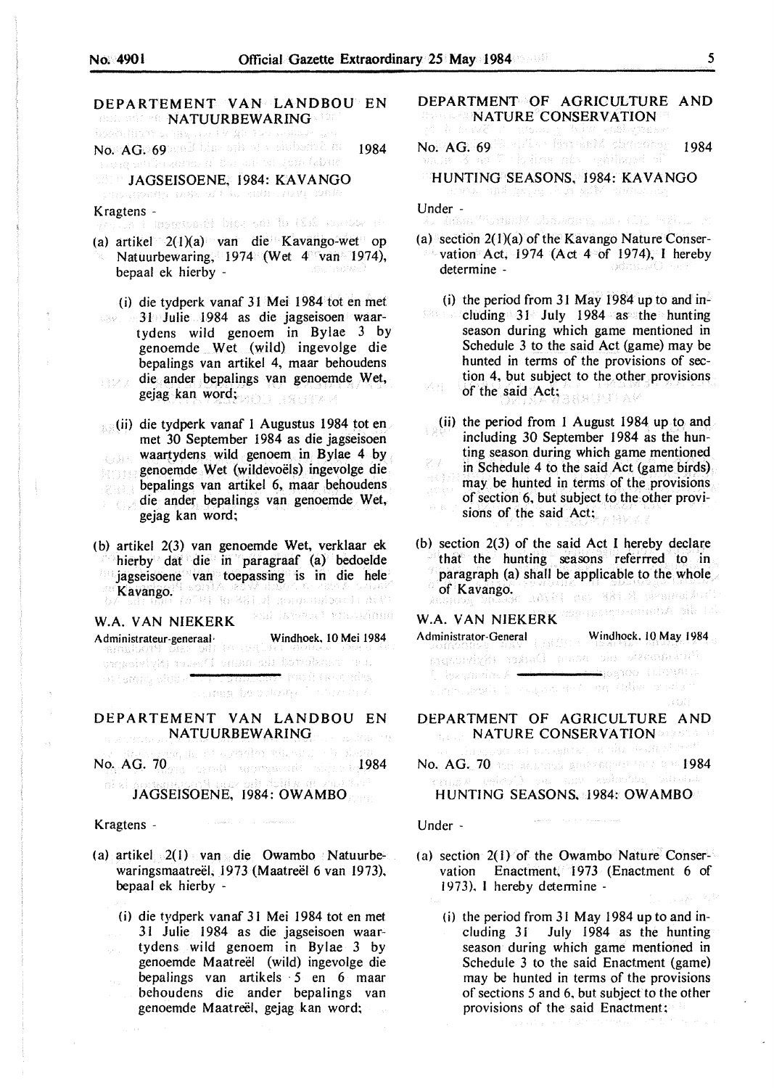# DEPARTEMENT VAN LANDBOU EN NATUURBEWARING<sup>, 197</sup> in 1970 and 1970 and 1970 and 1970 and 1970 and 1970 and 1970 and 1970 and 1970 and 1970 and 1970 and 1970 and 1970 and 1970 and 1970 and 1970 and 1970 and 1970 and 1970 and 1970 and 1970 and 1970 and No. AG. 69 and the sin of a sinherbit ne 1984 DEE **JAGSEISOENE, 1984: KAVANGO**<br>JAGAADAAD DEE SE GEODERDIA DAD Kragtens -<br>Werven Consystement bins out to Chi months an (a) artikel  $2(1)(a)$  van die Kavango-wet op Natuurbewaring, 1974 (Wet 4 van 1974), bepaal ek hierby - (i) die tydperk vanaf 31 Mei 1984 tot en met 31 Julie 1984 as die jagseisoen waartydens wild genoem in Bylae 3 by genoemde Wet (wild} ingevolge die bepalings van artikel 4, maar behoudens die ander bepalings van genoemde Wet, 现实人 gejag kan word; *omboridiens* (ii) die tydperk vanaf I Augustus 1984 tot en met 30 September 1984 as die jagseisoen waartydens wild genoem in Bylae 4 by 心身形 genoemde Wet (wildevoëls) ingevolge die 名表 bepalings van artikel 6, maar behoudens die ander bepalings van genoemde Wet, gejag kan word; (b) artikel 2(3) van genoemde Wet, verklaar ek hierby dat die in paragraaf (a) bedoelde jagseisoene van toepassing is in die hele Kavango. (STYLE ORGANIZE SCHOOLSHOOT IT ALV) - 234) (Kropa) rihozimin **W.A. VAN NIEKERK**  Administrateur-generaal · Windhoek, IO Mei 1984 DEPARTEMENT VAN LANDBOU EN NATUURBEWARING **NATUURBEWARING** No. AG. 70 and service appropriate the state

JAGSEISOENE, 1984: OWAMBO

#### Kragtens -

- (a) artikel  $2(1)$  van die Owambo Natuurbewaringsmaatreël, 1973 (Maatreël 6 van 1973), bepaal ek hierby -
	- (i) die tydperk vanaf 31 Mei 1984 tot en met 31 Julie 1984 as die jagseisoen waartydens wild genoem in Bylae 3 by genoemde Maatreël (wild) ingevolge die bepalings van artikels 5 en 6 maar behoudens die ander bepalings van genoemde Maatreel, gejag kan word;

DEPARTMENT OF AGRICULTURE AND  $\blacksquare$ NATURE CONSERVATION

No. AG. 69 Secold at Establish charactery 1984

#### HUNTING SEASONS, 1984: KAVANGO ਸਪੇਲ ਪੱਛੋਲੇ ਪ੍ਰੇਲ੍ਹਾ ਨੂੰ ਪੰਜਾਬ ਬ੍ਰਿੰਡੀ ਪੱਛਮੇਨਾਨ ਹ

Under -<br>Like determinische States ersten gestalt (11)

(a) section  $2(1)(a)$  of the Kavango Nature Conservation Act, 1974 (Act 4 of 1974), I hereby<br>determine determine -

(i) the period from 31 May 1984 up to and in-<br> $\frac{1}{2}$  chiding 31 Fe July 1984 as the bunting cluding 31 July 1984 as the hunting season during which game mentioned in Schedule 3 to the said Act (game) may be hunted in terms of the provisions of section 4, but subject to the other provisions of the said Act;  $\mathcal{A}^{\mathcal{E}}_{A}(\mathcal{E}_\mathbf{a}^{\mathcal{E}})$  .

- (ii) the period from I August 1984 up to and including 30 September 1984 as the hunting season during which game mentioned in Schedule 4 to the said Act (game birds) 用专家 may be hunted in terms of the provisions of section 6, but subject to the other provisions of the said Act; 14013
- (b) section 2(3) of the said Act I hereby declare that the hunting seasons referrred to in paragraph (a) shall be applicable to the whole of Kavango.<br>Cof Kavango.<br>Process Sandon Advil del 381.3 prospecidori.

W.A. VAN NIEKERK ENDERGREIGHEIDA pila 1.1.

## Administrator-General Windhoek. 10 May 1984

| <b>SOMEONIAR AREA</b> (BRITTE TOWN WORKS 2017   |  |  |
|-------------------------------------------------|--|--|
| ់ដែលដែលមាន៤ ចាំនេះមាន ដែលស្មែរ (Sylvecape) និង  |  |  |
|                                                 |  |  |
| player would be computed and station of what is |  |  |
|                                                 |  |  |

#### DEPARTMENT OF AGRICULTURE AND **NATURE CONSERVATION DESCRIPTION**

ka sa tao syntat, angka de dind No. AG., 70 the accuracy generation has a v 1984

HUNTING SEASONS. 1984: OWAMBO

#### Under -

- (a) section  $2(1)$  of the Owambo Nature Conservation Enactment, 1973 (Enactment 6 of 1973). I hereby determine -
	- (i) the period from 31 May 1984 up to and including 31 July 1984 as the hunting season during which game mentioned in Schedule 3 to the said Enactment (game) may be hunted in terms of the provisions of sections 5 and 6, but subject to the other provisions of the said Enactment: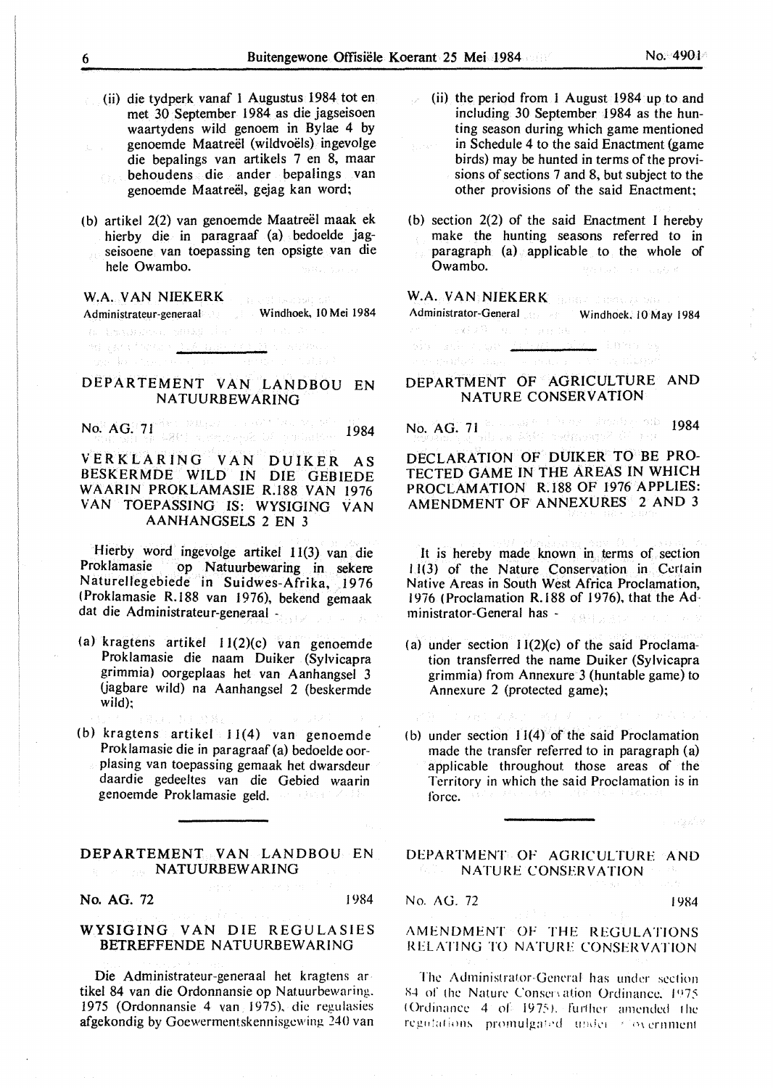- (ii) die tydperk vanaf 1 Augustus 1984 tot en met 30 September 1984 as die jagseisoen waartydens wild genoem in Bylae 4 by genoemde Maatreel (wildvoels) ingevolge die bepalings van artikels 7 en 8, maar behoudens die ander bepalings van genoemde Maatreël, gejag kan word;
- (b) artikel 2(2) van genoemde Maatreël maak ek hierby die in paragraaf (a) bedoelde jagseisoene van toepassing ten opsigte van die hele Owambo.

# **W.A. VAN NIEKERK**

Administrateur-generaal Windhoek, 10 Mei 1984 a trouble, substant

#### DEPARTEMENT VAN LANDBOU EN NA TUURBEWARING

No. AG. 71 1984

### VERKLARJNG VAN DUIKER AS BESKERMDE WILD IN DIE GEBIEDE WAARIN PROKLAMASIE R.188 VAN 1976 VAN TOEPASSING IS: WYSIGING VAN AANHANGSELS 2 EN 3

Hierby word ingevolge artikel 11(3) van die Proklamasie op Natuurbewaring in sekere Naturellegebiede in Suidwes-Afrika, 1976 (Proklamasie R.188 van 1976), bekend gemaak dat die Administrateur-generaal -

- (a) kragtens artikel I 1(2)(c) van genoemde Proklamasie die naam Duiker (Sylvicapra grimmia) oorgeplaas het van Aanhangsel 3 Uagbare wild) na Aanhangsel 2 (beskermde wild);
- (b) kragtens artikel  $11(4)$  van genoemde Proklamasie die in paragraaf (a) bedoelde oorplasing van toepassing gemaak het dwarsdeur daardie gedeeltes van die Gebied waarin genoemde Proklamasie geld.

以上的 出落

#### **DEPARTEMENT VAN** LANDBOU EN **NATUURBEW ARING**

**No. AG. 72 1984** 

#### **WYSIGING VAN** DIE REGULASIES BETREFFENDE NATUURBEWARING

Die Administrateur-generaal het kragtens ar · tikel 84 van die Ordonnansie op Natuurbewaring. 1975 (Ordonnansie 4 van 1975), die regulasies afgekondig by Goewermentskennisgcwing 240 van

- (ii) the period from I August 1984 up to and including 30 September 1984 as the hunting season during which game mentioned in Schedule 4 to the said Enactment (game birds) may be hunted in terms of the provisions of sections 7 and 8, but subject to the other provisions of the said Enactment;
- (b) section 2(2) of the said Enactment I hereby make the hunting seasons referred to in paragraph (a) applicable to the whole of Owambo.

# W.A. **VAN NIEKERK REGISTER IN 2009**

Administrator-General Windhoek. JO May 1984

# oin atiko ga <u>Artest alam</u> lumnos

#### **DEPARTMENT OF AGRICULTURE AND NATURE CONSERVATION**

No. AG. 71 Receives the exception one 1984

#### DECLARATION OF DUIKER TO BE PRO-TECTED GAME IN THE AREAS IN WHICH PROCLAMATION R.188 OF 1976 APPLIES: AMENDMENT OF ANNEXURES 2 AND 3

It is hereby made known in terms of section 11(3) of the Nature Conservation in Ccrlain Native Areas in South West Africa Proclamation, 1976 ( Proclamation R.188 of 1976), that the Administrator-General has - 23010

- (a) under section  $11(2)(c)$  of the said Proclamation transferred the name Duiker (Sylvicapra grimmia) from Annexure 3 (huntable game) to Annexure 2 (protected game);
- (b) under section  $11(4)$  of the said Proclamation made the transfer referred to in paragraph (a) applicable throughout those areas of the Territory in which the said Proclamation is in force.

DEPARTMENT OF AGRICULTURE AND NATURE CONSERVATION

No. AG. 72 1984

#### AMENDMENT OF THE REGULATIONS RELATING TO NATURE CONSERVATION

The Administrator-General has under section 84 of the Nature Conservation Ordinance. 1975. (Ordinance 4 of 1975). further amended the regulations promulgated under thovernment